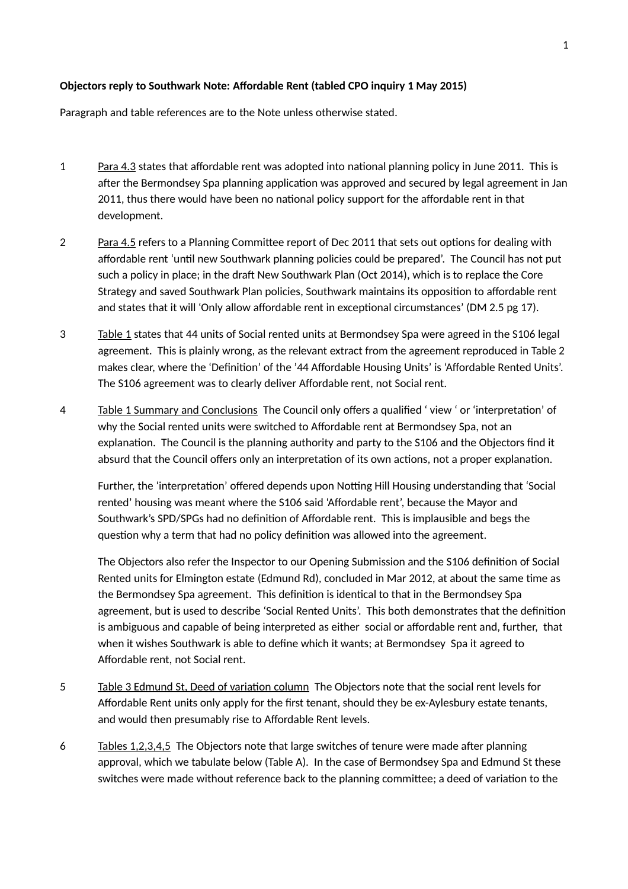## **Objectors reply to Southwark Note: Affordable Rent (tabled CPO inquiry 1 May 2015)**

Paragraph and table references are to the Note unless otherwise stated.

- 1 Para 4.3 states that affordable rent was adopted into national planning policy in June 2011. This is after the Bermondsey Spa planning application was approved and secured by legal agreement in Jan 2011, thus there would have been no national policy support for the affordable rent in that development.
- 2 Para 4.5 refers to a Planning Committee report of Dec 2011 that sets out options for dealing with affordable rent 'until new Southwark planning policies could be prepared'. The Council has not put such a policy in place; in the draft New Southwark Plan (Oct 2014), which is to replace the Core Strategy and saved Southwark Plan policies, Southwark maintains its opposition to affordable rent and states that it will 'Only allow affordable rent in exceptional circumstances' (DM 2.5 pg 17).
- 3 Table 1 states that 44 units of Social rented units at Bermondsey Spa were agreed in the S106 legal agreement. This is plainly wrong, as the relevant extract from the agreement reproduced in Table 2 makes clear, where the 'Definition' of the '44 Affordable Housing Units' is 'Affordable Rented Units'. The S106 agreement was to clearly deliver Affordable rent, not Social rent.
- 4 Table 1 Summary and Conclusions The Council only offers a qualified ' view ' or 'interpretation' of why the Social rented units were switched to Affordable rent at Bermondsey Spa, not an explanation. The Council is the planning authority and party to the S106 and the Objectors find it absurd that the Council offers only an interpretation of its own actions, not a proper explanation.

Further, the 'interpretation' offered depends upon Notting Hill Housing understanding that 'Social rented' housing was meant where the S106 said 'Affordable rent', because the Mayor and Southwark's SPD/SPGs had no definition of Affordable rent. This is implausible and begs the question why a term that had no policy definition was allowed into the agreement.

The Objectors also refer the Inspector to our Opening Submission and the S106 definition of Social Rented units for Elmington estate (Edmund Rd), concluded in Mar 2012, at about the same time as the Bermondsey Spa agreement. This definition is identical to that in the Bermondsey Spa agreement, but is used to describe 'Social Rented Units'. This both demonstrates that the definition is ambiguous and capable of being interpreted as either social or affordable rent and, further, that when it wishes Southwark is able to define which it wants; at Bermondsey Spa it agreed to Affordable rent, not Social rent.

- 5 Table 3 Edmund St, Deed of variation column The Objectors note that the social rent levels for Affordable Rent units only apply for the first tenant, should they be ex-Aylesbury estate tenants, and would then presumably rise to Affordable Rent levels.
- 6 Tables 1,2,3,4,5 The Objectors note that large switches of tenure were made after planning approval, which we tabulate below (Table A). In the case of Bermondsey Spa and Edmund St these switches were made without reference back to the planning committee; a deed of variation to the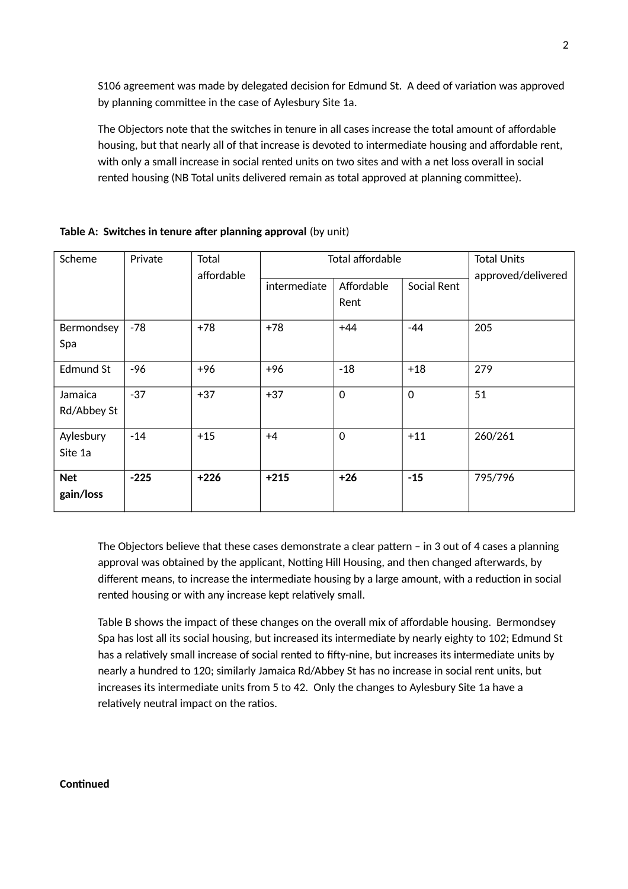S106 agreement was made by delegated decision for Edmund St. A deed of variation was approved by planning committee in the case of Aylesbury Site 1a.

The Objectors note that the switches in tenure in all cases increase the total amount of affordable housing, but that nearly all of that increase is devoted to intermediate housing and affordable rent, with only a small increase in social rented units on two sites and with a net loss overall in social rented housing (NB Total units delivered remain as total approved at planning committee).

| Scheme      | Private | Total      | Total affordable | <b>Total Units</b> |             |         |
|-------------|---------|------------|------------------|--------------------|-------------|---------|
|             |         | affordable | intermediate     | approved/delivered |             |         |
|             |         |            |                  | Affordable<br>Rent | Social Rent |         |
| Bermondsey  | $-78$   | $+78$      | $+78$            | $+44$              | $-44$       | 205     |
| Spa         |         |            |                  |                    |             |         |
| Edmund St   | -96     | $+96$      | +96              | $-18$              | $+18$       | 279     |
| Jamaica     | $-37$   | $+37$      | $+37$            | $\mathbf 0$        | $\mathbf 0$ | 51      |
| Rd/Abbey St |         |            |                  |                    |             |         |
| Aylesbury   | $-14$   | $+15$      | $+4$             | $\mathbf 0$        | $+11$       | 260/261 |
| Site 1a     |         |            |                  |                    |             |         |
| <b>Net</b>  | $-225$  | $+226$     | $+215$           | $+26$              | $-15$       | 795/796 |
| gain/loss   |         |            |                  |                    |             |         |
|             |         |            |                  |                    |             |         |

## **Table A: Switches in tenure after planning approval** (by unit)

The Objectors believe that these cases demonstrate a clear pattern – in 3 out of 4 cases a planning approval was obtained by the applicant, Notting Hill Housing, and then changed afterwards, by different means, to increase the intermediate housing by a large amount, with a reduction in social rented housing or with any increase kept relatively small.

Table B shows the impact of these changes on the overall mix of affordable housing. Bermondsey Spa has lost all its social housing, but increased its intermediate by nearly eighty to 102; Edmund St has a relatively small increase of social rented to fifty-nine, but increases its intermediate units by nearly a hundred to 120; similarly Jamaica Rd/Abbey St has no increase in social rent units, but increases its intermediate units from 5 to 42. Only the changes to Aylesbury Site 1a have a relatively neutral impact on the ratios.

## **Continued**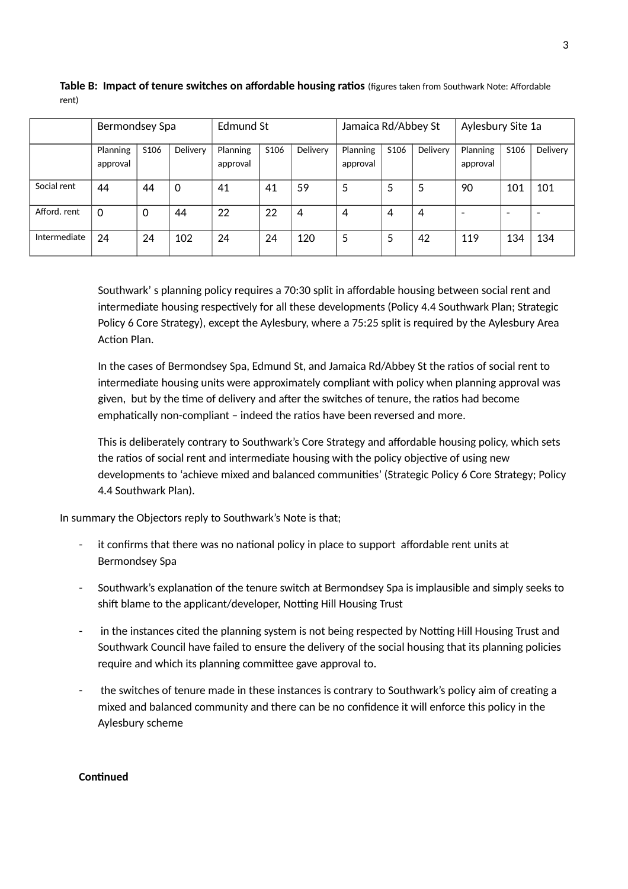|              | Bermondsey Spa       |                  |          | Edmund St            |                  |          | Jamaica Rd/Abbey St  |                  |                | Aylesbury Site 1a        |                          |                          |
|--------------|----------------------|------------------|----------|----------------------|------------------|----------|----------------------|------------------|----------------|--------------------------|--------------------------|--------------------------|
|              | Planning<br>approval | S <sub>106</sub> | Delivery | Planning<br>approval | S <sub>106</sub> | Delivery | Planning<br>approval | S <sub>106</sub> | Delivery       | Planning<br>approval     | S <sub>106</sub>         | Delivery                 |
| Social rent  | 44                   | 44               | 0        | 41                   | 41               | 59       | 5                    | 5                | 5              | 90                       | 101                      | 101                      |
| Afford. rent | 0                    | $\mathbf 0$      | 44       | 22                   | 22               | 4        | 4                    | 4                | $\overline{4}$ | $\overline{\phantom{0}}$ | $\overline{\phantom{0}}$ | $\overline{\phantom{a}}$ |
| Intermediate | 24                   | 24               | 102      | 24                   | 24               | 120      | 5                    | 5                | 42             | 119                      | 134                      | 134                      |

**Table B: Impact of tenure switches on affordable housing ratios** (figures taken from Southwark Note: Affordable rent)

Southwark' s planning policy requires a 70:30 split in affordable housing between social rent and intermediate housing respectively for all these developments (Policy 4.4 Southwark Plan; Strategic Policy 6 Core Strategy), except the Aylesbury, where a 75:25 split is required by the Aylesbury Area Action Plan.

In the cases of Bermondsey Spa, Edmund St, and Jamaica Rd/Abbey St the ratios of social rent to intermediate housing units were approximately compliant with policy when planning approval was given, but by the time of delivery and after the switches of tenure, the ratios had become emphatically non-compliant – indeed the ratios have been reversed and more.

This is deliberately contrary to Southwark's Core Strategy and affordable housing policy, which sets the ratios of social rent and intermediate housing with the policy objective of using new developments to 'achieve mixed and balanced communities' (Strategic Policy 6 Core Strategy; Policy 4.4 Southwark Plan).

In summary the Objectors reply to Southwark's Note is that;

- it confirms that there was no national policy in place to support affordable rent units at Bermondsey Spa
- Southwark's explanation of the tenure switch at Bermondsey Spa is implausible and simply seeks to shift blame to the applicant/developer, Notting Hill Housing Trust
- in the instances cited the planning system is not being respected by Notting Hill Housing Trust and Southwark Council have failed to ensure the delivery of the social housing that its planning policies require and which its planning committee gave approval to.
- the switches of tenure made in these instances is contrary to Southwark's policy aim of creating a mixed and balanced community and there can be no confidence it will enforce this policy in the Aylesbury scheme

## **Continued**